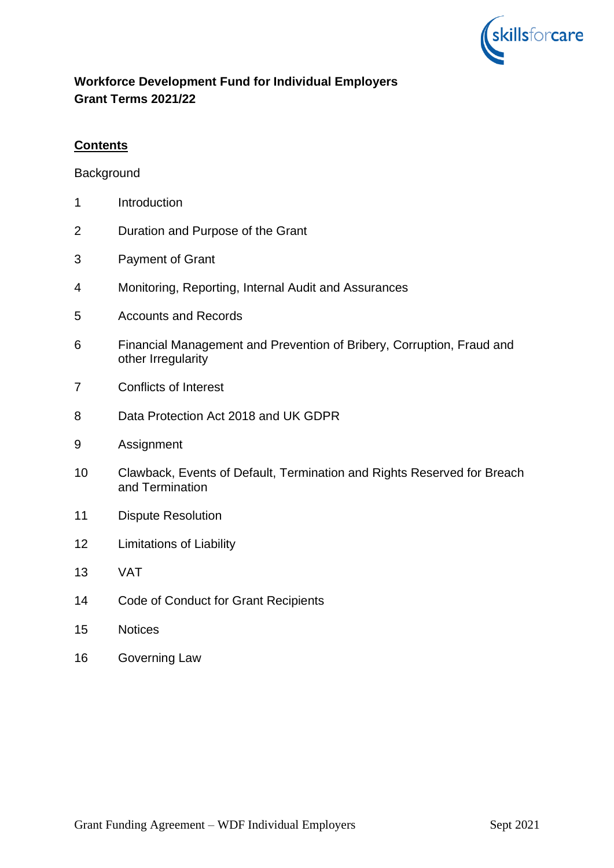

# **Workforce Development Fund for Individual Employers Grant Terms 2021/22**

# **Contents**

**Background** 

- Introduction
- Duration and Purpose of the Grant
- Payment of Grant
- Monitoring, Reporting, Internal Audit and Assurances
- Accounts and Records
- Financial Management and Prevention of Bribery, Corruption, Fraud and other Irregularity
- Conflicts of Interest
- Data Protection Act 2018 and UK GDPR
- Assignment
- Clawback, Events of Default, Termination and Rights Reserved for Breach and Termination
- Dispute Resolution
- Limitations of Liability
- VAT
- Code of Conduct for Grant Recipients
- Notices
- Governing Law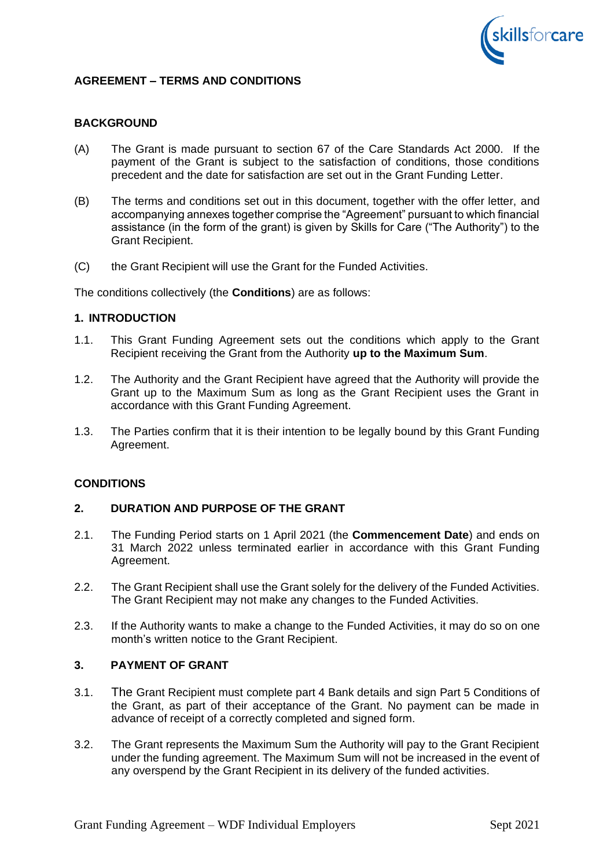

# **AGREEMENT – TERMS AND CONDITIONS**

## **BACKGROUND**

- (A) The Grant is made pursuant to section 67 of the Care Standards Act 2000. If the payment of the Grant is subject to the satisfaction of conditions, those conditions precedent and the date for satisfaction are set out in the Grant Funding Letter.
- (B) The terms and conditions set out in this document, together with the offer letter, and accompanying annexes together comprise the "Agreement" pursuant to which financial assistance (in the form of the grant) is given by Skills for Care ("The Authority") to the Grant Recipient.
- (C) the Grant Recipient will use the Grant for the Funded Activities.

The conditions collectively (the **Conditions**) are as follows:

#### **1. INTRODUCTION**

- 1.1. This Grant Funding Agreement sets out the conditions which apply to the Grant Recipient receiving the Grant from the Authority **up to the Maximum Sum**.
- 1.2. The Authority and the Grant Recipient have agreed that the Authority will provide the Grant up to the Maximum Sum as long as the Grant Recipient uses the Grant in accordance with this Grant Funding Agreement.
- 1.3. The Parties confirm that it is their intention to be legally bound by this Grant Funding Agreement.

#### **CONDITIONS**

# **2. DURATION AND PURPOSE OF THE GRANT**

- 2.1. The Funding Period starts on 1 April 2021 (the **Commencement Date**) and ends on 31 March 2022 unless terminated earlier in accordance with this Grant Funding Agreement.
- 2.2. The Grant Recipient shall use the Grant solely for the delivery of the Funded Activities. The Grant Recipient may not make any changes to the Funded Activities.
- 2.3. If the Authority wants to make a change to the Funded Activities, it may do so on one month's written notice to the Grant Recipient.

# **3. PAYMENT OF GRANT**

- 3.1. The Grant Recipient must complete part 4 Bank details and sign Part 5 Conditions of the Grant, as part of their acceptance of the Grant. No payment can be made in advance of receipt of a correctly completed and signed form.
- 3.2. The Grant represents the Maximum Sum the Authority will pay to the Grant Recipient under the funding agreement. The Maximum Sum will not be increased in the event of any overspend by the Grant Recipient in its delivery of the funded activities.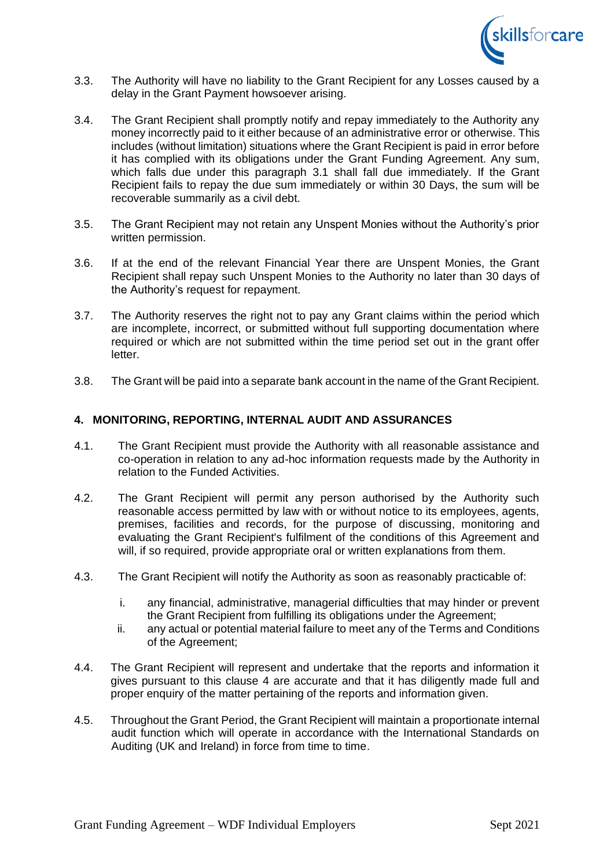

- 3.3. The Authority will have no liability to the Grant Recipient for any Losses caused by a delay in the Grant Payment howsoever arising.
- 3.4. The Grant Recipient shall promptly notify and repay immediately to the Authority any money incorrectly paid to it either because of an administrative error or otherwise. This includes (without limitation) situations where the Grant Recipient is paid in error before it has complied with its obligations under the Grant Funding Agreement. Any sum, which falls due under this paragraph 3.1 shall fall due immediately. If the Grant Recipient fails to repay the due sum immediately or within 30 Days, the sum will be recoverable summarily as a civil debt.
- 3.5. The Grant Recipient may not retain any Unspent Monies without the Authority's prior written permission.
- 3.6. If at the end of the relevant Financial Year there are Unspent Monies, the Grant Recipient shall repay such Unspent Monies to the Authority no later than 30 days of the Authority's request for repayment.
- 3.7. The Authority reserves the right not to pay any Grant claims within the period which are incomplete, incorrect, or submitted without full supporting documentation where required or which are not submitted within the time period set out in the grant offer letter.
- 3.8. The Grant will be paid into a separate bank account in the name of the Grant Recipient.

## **4. MONITORING, REPORTING, INTERNAL AUDIT AND ASSURANCES**

- 4.1. The Grant Recipient must provide the Authority with all reasonable assistance and co-operation in relation to any ad-hoc information requests made by the Authority in relation to the Funded Activities.
- 4.2. The Grant Recipient will permit any person authorised by the Authority such reasonable access permitted by law with or without notice to its employees, agents, premises, facilities and records, for the purpose of discussing, monitoring and evaluating the Grant Recipient's fulfilment of the conditions of this Agreement and will, if so required, provide appropriate oral or written explanations from them.
- 4.3. The Grant Recipient will notify the Authority as soon as reasonably practicable of:
	- i. any financial, administrative, managerial difficulties that may hinder or prevent the Grant Recipient from fulfilling its obligations under the Agreement;
	- ii. any actual or potential material failure to meet any of the Terms and Conditions of the Agreement;
- 4.4. The Grant Recipient will represent and undertake that the reports and information it gives pursuant to this clause 4 are accurate and that it has diligently made full and proper enquiry of the matter pertaining of the reports and information given.
- 4.5. Throughout the Grant Period, the Grant Recipient will maintain a proportionate internal audit function which will operate in accordance with the International Standards on Auditing (UK and Ireland) in force from time to time.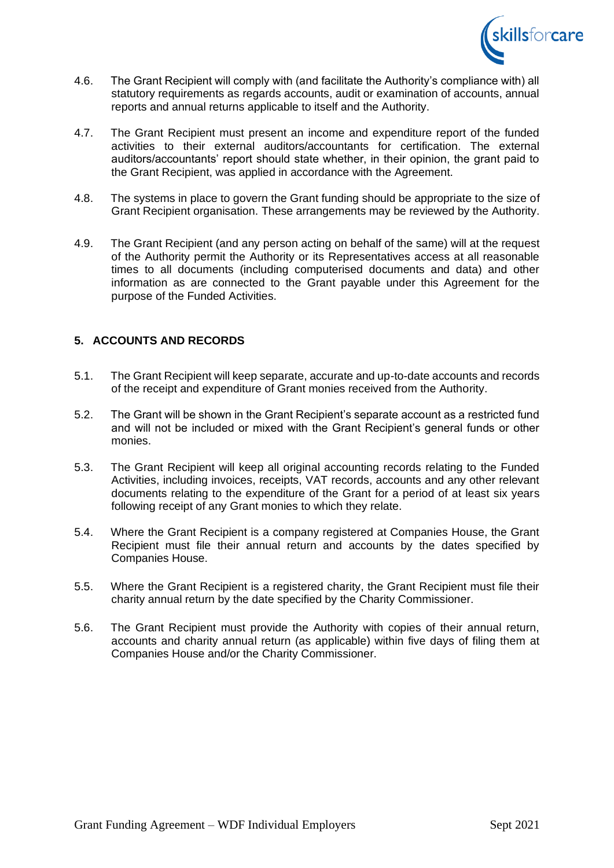

- 4.6. The Grant Recipient will comply with (and facilitate the Authority's compliance with) all statutory requirements as regards accounts, audit or examination of accounts, annual reports and annual returns applicable to itself and the Authority.
- 4.7. The Grant Recipient must present an income and expenditure report of the funded activities to their external auditors/accountants for certification. The external auditors/accountants' report should state whether, in their opinion, the grant paid to the Grant Recipient, was applied in accordance with the Agreement.
- 4.8. The systems in place to govern the Grant funding should be appropriate to the size of Grant Recipient organisation. These arrangements may be reviewed by the Authority.
- 4.9. The Grant Recipient (and any person acting on behalf of the same) will at the request of the Authority permit the Authority or its Representatives access at all reasonable times to all documents (including computerised documents and data) and other information as are connected to the Grant payable under this Agreement for the purpose of the Funded Activities.

# **5. ACCOUNTS AND RECORDS**

- 5.1. The Grant Recipient will keep separate, accurate and up-to-date accounts and records of the receipt and expenditure of Grant monies received from the Authority.
- 5.2. The Grant will be shown in the Grant Recipient's separate account as a restricted fund and will not be included or mixed with the Grant Recipient's general funds or other monies.
- 5.3. The Grant Recipient will keep all original accounting records relating to the Funded Activities, including invoices, receipts, VAT records, accounts and any other relevant documents relating to the expenditure of the Grant for a period of at least six years following receipt of any Grant monies to which they relate.
- 5.4. Where the Grant Recipient is a company registered at Companies House, the Grant Recipient must file their annual return and accounts by the dates specified by Companies House.
- 5.5. Where the Grant Recipient is a registered charity, the Grant Recipient must file their charity annual return by the date specified by the Charity Commissioner.
- 5.6. The Grant Recipient must provide the Authority with copies of their annual return, accounts and charity annual return (as applicable) within five days of filing them at Companies House and/or the Charity Commissioner.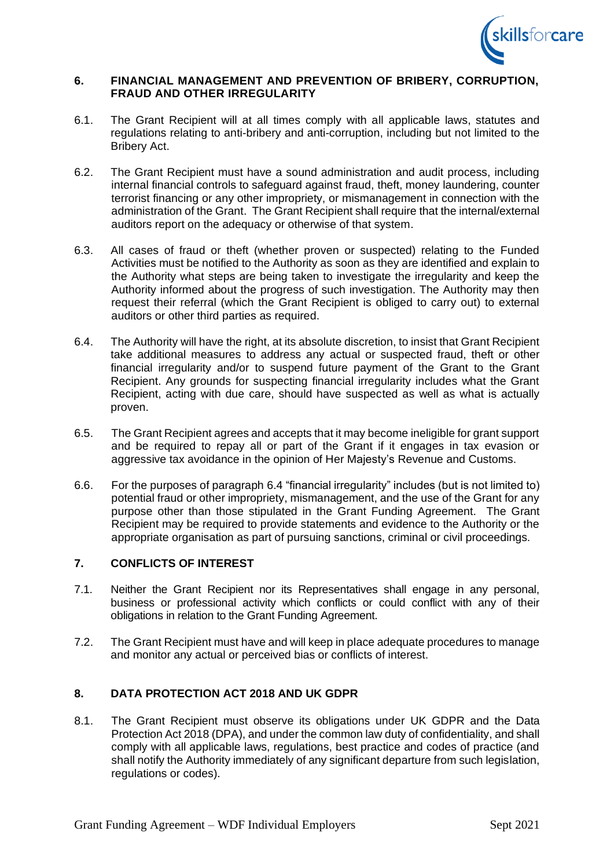

### **6. FINANCIAL MANAGEMENT AND PREVENTION OF BRIBERY, CORRUPTION, FRAUD AND OTHER IRREGULARITY**

- 6.1. The Grant Recipient will at all times comply with all applicable laws, statutes and regulations relating to anti-bribery and anti-corruption, including but not limited to the Bribery Act.
- 6.2. The Grant Recipient must have a sound administration and audit process, including internal financial controls to safeguard against fraud, theft, money laundering, counter terrorist financing or any other impropriety, or mismanagement in connection with the administration of the Grant. The Grant Recipient shall require that the internal/external auditors report on the adequacy or otherwise of that system.
- 6.3. All cases of fraud or theft (whether proven or suspected) relating to the Funded Activities must be notified to the Authority as soon as they are identified and explain to the Authority what steps are being taken to investigate the irregularity and keep the Authority informed about the progress of such investigation. The Authority may then request their referral (which the Grant Recipient is obliged to carry out) to external auditors or other third parties as required.
- 6.4. The Authority will have the right, at its absolute discretion, to insist that Grant Recipient take additional measures to address any actual or suspected fraud, theft or other financial irregularity and/or to suspend future payment of the Grant to the Grant Recipient. Any grounds for suspecting financial irregularity includes what the Grant Recipient, acting with due care, should have suspected as well as what is actually proven.
- 6.5. The Grant Recipient agrees and accepts that it may become ineligible for grant support and be required to repay all or part of the Grant if it engages in tax evasion or aggressive tax avoidance in the opinion of Her Majesty's Revenue and Customs.
- 6.6. For the purposes of paragraph 6.4 "financial irregularity" includes (but is not limited to) potential fraud or other impropriety, mismanagement, and the use of the Grant for any purpose other than those stipulated in the Grant Funding Agreement. The Grant Recipient may be required to provide statements and evidence to the Authority or the appropriate organisation as part of pursuing sanctions, criminal or civil proceedings.

# **7. CONFLICTS OF INTEREST**

- 7.1. Neither the Grant Recipient nor its Representatives shall engage in any personal, business or professional activity which conflicts or could conflict with any of their obligations in relation to the Grant Funding Agreement.
- 7.2. The Grant Recipient must have and will keep in place adequate procedures to manage and monitor any actual or perceived bias or conflicts of interest.

# **8. DATA PROTECTION ACT 2018 AND UK GDPR**

8.1. The Grant Recipient must observe its obligations under UK GDPR and the Data Protection Act 2018 (DPA), and under the common law duty of confidentiality, and shall comply with all applicable laws, regulations, best practice and codes of practice (and shall notify the Authority immediately of any significant departure from such legislation, regulations or codes).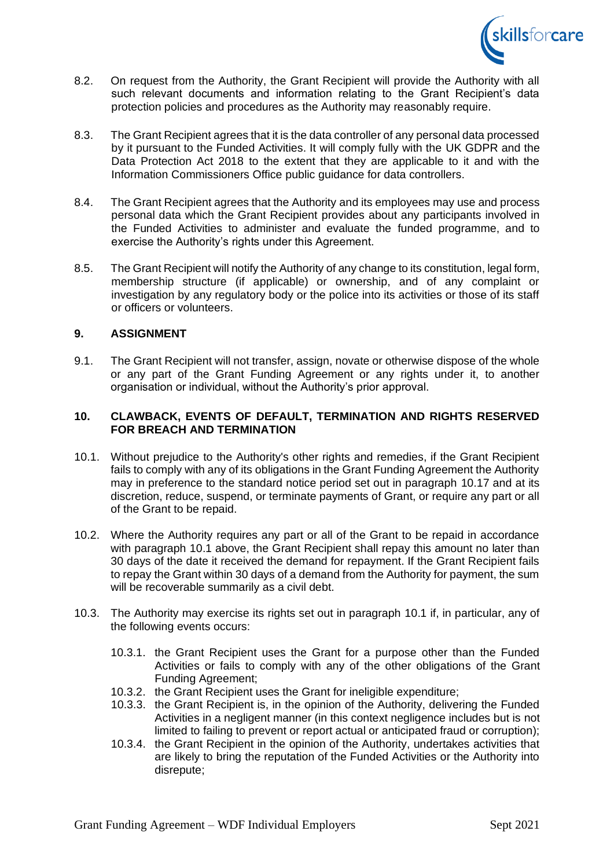

- 8.2. On request from the Authority, the Grant Recipient will provide the Authority with all such relevant documents and information relating to the Grant Recipient's data protection policies and procedures as the Authority may reasonably require.
- 8.3. The Grant Recipient agrees that it is the data controller of any personal data processed by it pursuant to the Funded Activities. It will comply fully with the UK GDPR and the Data Protection Act 2018 to the extent that they are applicable to it and with the Information Commissioners Office public guidance for data controllers.
- 8.4. The Grant Recipient agrees that the Authority and its employees may use and process personal data which the Grant Recipient provides about any participants involved in the Funded Activities to administer and evaluate the funded programme, and to exercise the Authority's rights under this Agreement.
- 8.5. The Grant Recipient will notify the Authority of any change to its constitution, legal form, membership structure (if applicable) or ownership, and of any complaint or investigation by any regulatory body or the police into its activities or those of its staff or officers or volunteers.

## **9. ASSIGNMENT**

9.1. The Grant Recipient will not transfer, assign, novate or otherwise dispose of the whole or any part of the Grant Funding Agreement or any rights under it, to another organisation or individual, without the Authority's prior approval.

### **10. CLAWBACK, EVENTS OF DEFAULT, TERMINATION AND RIGHTS RESERVED FOR BREACH AND TERMINATION**

- <span id="page-5-0"></span>10.1. Without prejudice to the Authority's other rights and remedies, if the Grant Recipient fails to comply with any of its obligations in the Grant Funding Agreement the Authority may in preference to the standard notice period set out in paragraph 10.17 and at its discretion, reduce, suspend, or terminate payments of Grant, or require any part or all of the Grant to be repaid.
- 10.2. Where the Authority requires any part or all of the Grant to be repaid in accordance with paragraph 10.1 above, the Grant Recipient shall repay this amount no later than 30 days of the date it received the demand for repayment. If the Grant Recipient fails to repay the Grant within 30 days of a demand from the Authority for payment, the sum will be recoverable summarily as a civil debt.
- 10.3. The Authority may exercise its rights set out in paragraph 10.1 if, in particular, any of the following events occurs:
	- 10.3.1. the Grant Recipient uses the Grant for a purpose other than the Funded Activities or fails to comply with any of the other obligations of the Grant Funding Agreement;
	- 10.3.2. the Grant Recipient uses the Grant for ineligible expenditure;
	- 10.3.3. the Grant Recipient is, in the opinion of the Authority, delivering the Funded Activities in a negligent manner (in this context negligence includes but is not limited to failing to prevent or report actual or anticipated fraud or corruption);
	- 10.3.4. the Grant Recipient in the opinion of the Authority, undertakes activities that are likely to bring the reputation of the Funded Activities or the Authority into disrepute;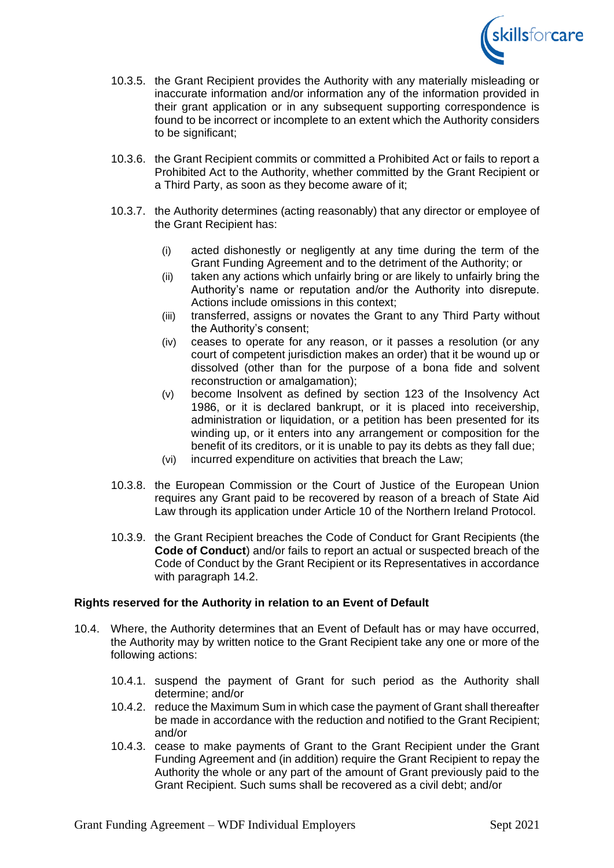

- 10.3.5. the Grant Recipient provides the Authority with any materially misleading or inaccurate information and/or information any of the information provided in their grant application or in any subsequent supporting correspondence is found to be incorrect or incomplete to an extent which the Authority considers to be significant:
- 10.3.6. the Grant Recipient commits or committed a Prohibited Act or fails to report a Prohibited Act to the Authority, whether committed by the Grant Recipient or a Third Party, as soon as they become aware of it;
- 10.3.7. the Authority determines (acting reasonably) that any director or employee of the Grant Recipient has:
	- (i) acted dishonestly or negligently at any time during the term of the Grant Funding Agreement and to the detriment of the Authority; or
	- (ii) taken any actions which unfairly bring or are likely to unfairly bring the Authority's name or reputation and/or the Authority into disrepute. Actions include omissions in this context;
	- (iii) transferred, assigns or novates the Grant to any Third Party without the Authority's consent;
	- (iv) ceases to operate for any reason, or it passes a resolution (or any court of competent jurisdiction makes an order) that it be wound up or dissolved (other than for the purpose of a bona fide and solvent reconstruction or amalgamation);
	- (v) become Insolvent as defined by section 123 of the Insolvency Act 1986, or it is declared bankrupt, or it is placed into receivership, administration or liquidation, or a petition has been presented for its winding up, or it enters into any arrangement or composition for the benefit of its creditors, or it is unable to pay its debts as they fall due;
	- (vi) incurred expenditure on activities that breach the Law;
- 10.3.8. the European Commission or the Court of Justice of the European Union requires any Grant paid to be recovered by reason of a breach of State Aid Law through its application under Article 10 of the Northern Ireland Protocol.
- 10.3.9. the Grant Recipient breaches the Code of Conduct for Grant Recipients (the **Code of Conduct**) and/or fails to report an actual or suspected breach of the Code of Conduct by the Grant Recipient or its Representatives in accordance with paragraph [14.2.](#page-9-0)

## **Rights reserved for the Authority in relation to an Event of Default**

- 10.4. Where, the Authority determines that an Event of Default has or may have occurred, the Authority may by written notice to the Grant Recipient take any one or more of the following actions:
	- 10.4.1. suspend the payment of Grant for such period as the Authority shall determine; and/or
	- 10.4.2. reduce the Maximum Sum in which case the payment of Grant shall thereafter be made in accordance with the reduction and notified to the Grant Recipient; and/or
	- 10.4.3. cease to make payments of Grant to the Grant Recipient under the Grant Funding Agreement and (in addition) require the Grant Recipient to repay the Authority the whole or any part of the amount of Grant previously paid to the Grant Recipient. Such sums shall be recovered as a civil debt; and/or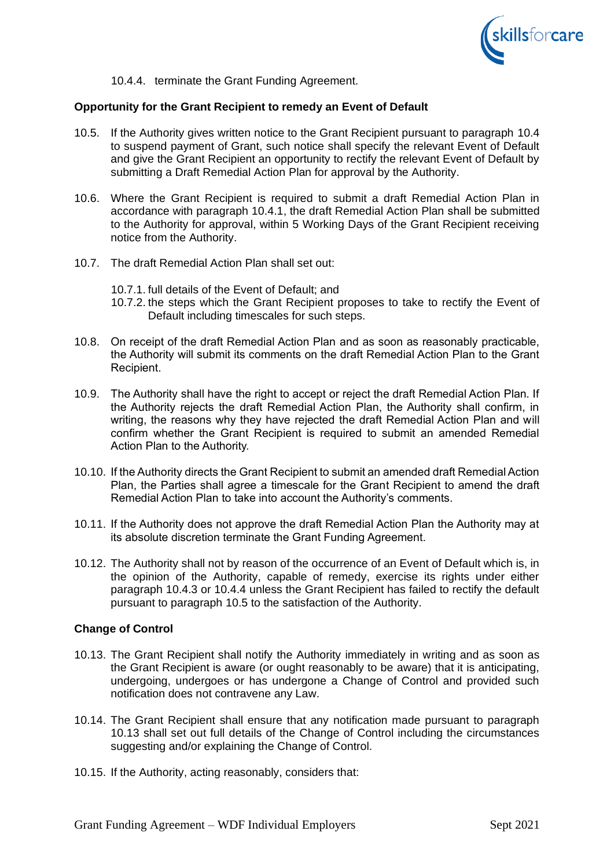

10.4.4. terminate the Grant Funding Agreement.

#### <span id="page-7-0"></span>**Opportunity for the Grant Recipient to remedy an Event of Default**

- 10.5. If the Authority gives written notice to the Grant Recipient pursuant to paragraph 10.4 to suspend payment of Grant, such notice shall specify the relevant Event of Default and give the Grant Recipient an opportunity to rectify the relevant Event of Default by submitting a Draft Remedial Action Plan for approval by the Authority.
- 10.6. Where the Grant Recipient is required to submit a draft Remedial Action Plan in accordance with paragraph 10.4.1, the draft Remedial Action Plan shall be submitted to the Authority for approval, within 5 Working Days of the Grant Recipient receiving notice from the Authority.
- 10.7. The draft Remedial Action Plan shall set out:
	- 10.7.1. full details of the Event of Default; and
	- 10.7.2. the steps which the Grant Recipient proposes to take to rectify the Event of Default including timescales for such steps.
- 10.8. On receipt of the draft Remedial Action Plan and as soon as reasonably practicable, the Authority will submit its comments on the draft Remedial Action Plan to the Grant Recipient.
- 10.9. The Authority shall have the right to accept or reject the draft Remedial Action Plan. If the Authority rejects the draft Remedial Action Plan, the Authority shall confirm, in writing, the reasons why they have rejected the draft Remedial Action Plan and will confirm whether the Grant Recipient is required to submit an amended Remedial Action Plan to the Authority.
- 10.10. If the Authority directs the Grant Recipient to submit an amended draft Remedial Action Plan, the Parties shall agree a timescale for the Grant Recipient to amend the draft Remedial Action Plan to take into account the Authority's comments.
- 10.11. If the Authority does not approve the draft Remedial Action Plan the Authority may at its absolute discretion terminate the Grant Funding Agreement.
- 10.12. The Authority shall not by reason of the occurrence of an Event of Default which is, in the opinion of the Authority, capable of remedy, exercise its rights under either paragraph 10.4.3 or [10.4.4](#page-7-0) unless the Grant Recipient has failed to rectify the default pursuant to paragraph 10.5 to the satisfaction of the Authority.

#### **Change of Control**

- 10.13. The Grant Recipient shall notify the Authority immediately in writing and as soon as the Grant Recipient is aware (or ought reasonably to be aware) that it is anticipating, undergoing, undergoes or has undergone a Change of Control and provided such notification does not contravene any Law.
- 10.14. The Grant Recipient shall ensure that any notification made pursuant to paragraph 10.13 shall set out full details of the Change of Control including the circumstances suggesting and/or explaining the Change of Control.
- 10.15. If the Authority, acting reasonably, considers that: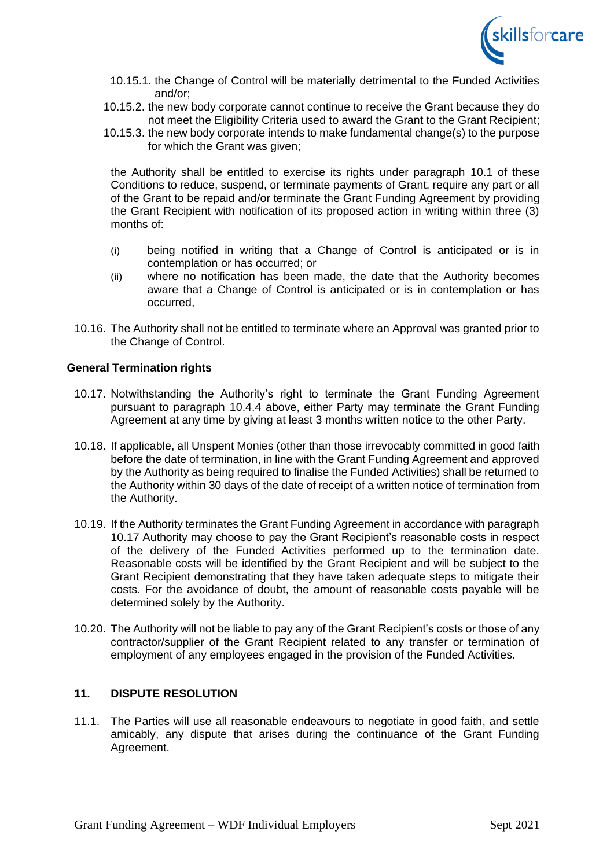

- 10.15.1. the Change of Control will be materially detrimental to the Funded Activities and/or;
- 10.15.2. the new body corporate cannot continue to receive the Grant because they do not meet the Eligibility Criteria used to award the Grant to the Grant Recipient;
- 10.15.3. the new body corporate intends to make fundamental change(s) to the purpose for which the Grant was given;

the Authority shall be entitled to exercise its rights under paragraph [10.1](#page-5-0) of these Conditions to reduce, suspend, or terminate payments of Grant, require any part or all of the Grant to be repaid and/or terminate the Grant Funding Agreement by providing the Grant Recipient with notification of its proposed action in writing within three (3) months of:

- (i) being notified in writing that a Change of Control is anticipated or is in contemplation or has occurred; or
- (ii) where no notification has been made, the date that the Authority becomes aware that a Change of Control is anticipated or is in contemplation or has occurred,
- 10.16. The Authority shall not be entitled to terminate where an Approval was granted prior to the Change of Control.

#### **General Termination rights**

- <span id="page-8-0"></span>10.17. Notwithstanding the Authority's right to terminate the Grant Funding Agreement pursuant to paragraph [10.4.4](#page-7-0) above, either Party may terminate the Grant Funding Agreement at any time by giving at least 3 months written notice to the other Party.
- 10.18. If applicable, all Unspent Monies (other than those irrevocably committed in good faith before the date of termination, in line with the Grant Funding Agreement and approved by the Authority as being required to finalise the Funded Activities) shall be returned to the Authority within 30 days of the date of receipt of a written notice of termination from the Authority.
- 10.19. If the Authority terminates the Grant Funding Agreement in accordance with paragraph [10.17](#page-8-0) Authority may choose to pay the Grant Recipient's reasonable costs in respect of the delivery of the Funded Activities performed up to the termination date. Reasonable costs will be identified by the Grant Recipient and will be subject to the Grant Recipient demonstrating that they have taken adequate steps to mitigate their costs. For the avoidance of doubt, the amount of reasonable costs payable will be determined solely by the Authority.
- 10.20. The Authority will not be liable to pay any of the Grant Recipient's costs or those of any contractor/supplier of the Grant Recipient related to any transfer or termination of employment of any employees engaged in the provision of the Funded Activities.

# **11. DISPUTE RESOLUTION**

11.1. The Parties will use all reasonable endeavours to negotiate in good faith, and settle amicably, any dispute that arises during the continuance of the Grant Funding Agreement.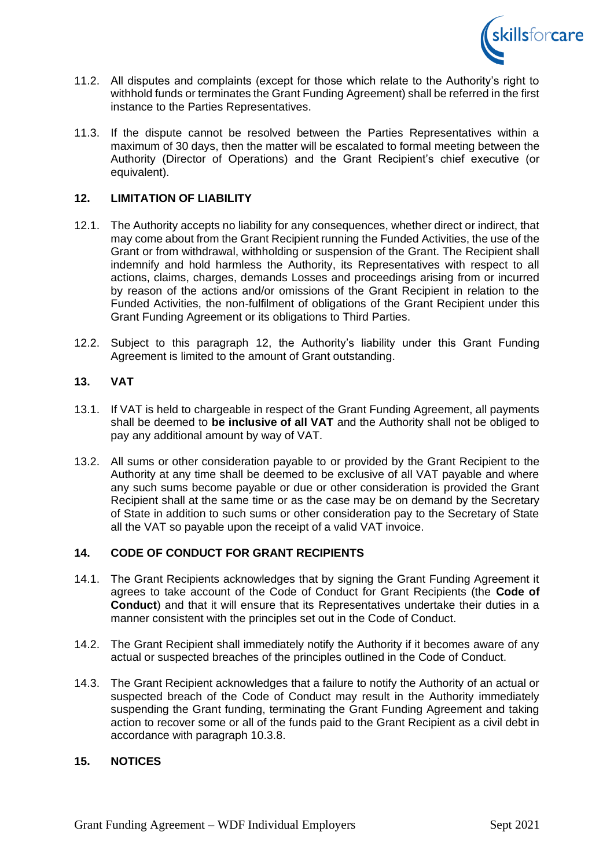

- 11.2. All disputes and complaints (except for those which relate to the Authority's right to withhold funds or terminates the Grant Funding Agreement) shall be referred in the first instance to the Parties Representatives.
- 11.3. If the dispute cannot be resolved between the Parties Representatives within a maximum of 30 days, then the matter will be escalated to formal meeting between the Authority (Director of Operations) and the Grant Recipient's chief executive (or equivalent).

## **12. LIMITATION OF LIABILITY**

- 12.1. The Authority accepts no liability for any consequences, whether direct or indirect, that may come about from the Grant Recipient running the Funded Activities, the use of the Grant or from withdrawal, withholding or suspension of the Grant. The Recipient shall indemnify and hold harmless the Authority, its Representatives with respect to all actions, claims, charges, demands Losses and proceedings arising from or incurred by reason of the actions and/or omissions of the Grant Recipient in relation to the Funded Activities, the non-fulfilment of obligations of the Grant Recipient under this Grant Funding Agreement or its obligations to Third Parties.
- 12.2. Subject to this paragraph 12, the Authority's liability under this Grant Funding Agreement is limited to the amount of Grant outstanding.

# **13. VAT**

- 13.1. If VAT is held to chargeable in respect of the Grant Funding Agreement, all payments shall be deemed to **be inclusive of all VAT** and the Authority shall not be obliged to pay any additional amount by way of VAT.
- 13.2. All sums or other consideration payable to or provided by the Grant Recipient to the Authority at any time shall be deemed to be exclusive of all VAT payable and where any such sums become payable or due or other consideration is provided the Grant Recipient shall at the same time or as the case may be on demand by the Secretary of State in addition to such sums or other consideration pay to the Secretary of State all the VAT so payable upon the receipt of a valid VAT invoice.

#### **14. CODE OF CONDUCT FOR GRANT RECIPIENTS**

- 14.1. The Grant Recipients acknowledges that by signing the Grant Funding Agreement it agrees to take account of the Code of Conduct for Grant Recipients (the **Code of Conduct**) and that it will ensure that its Representatives undertake their duties in a manner consistent with the principles set out in the Code of Conduct.
- <span id="page-9-0"></span>14.2. The Grant Recipient shall immediately notify the Authority if it becomes aware of any actual or suspected breaches of the principles outlined in the Code of Conduct.
- 14.3. The Grant Recipient acknowledges that a failure to notify the Authority of an actual or suspected breach of the Code of Conduct may result in the Authority immediately suspending the Grant funding, terminating the Grant Funding Agreement and taking action to recover some or all of the funds paid to the Grant Recipient as a civil debt in accordance with paragraph 10.3.8.

#### **15. NOTICES**